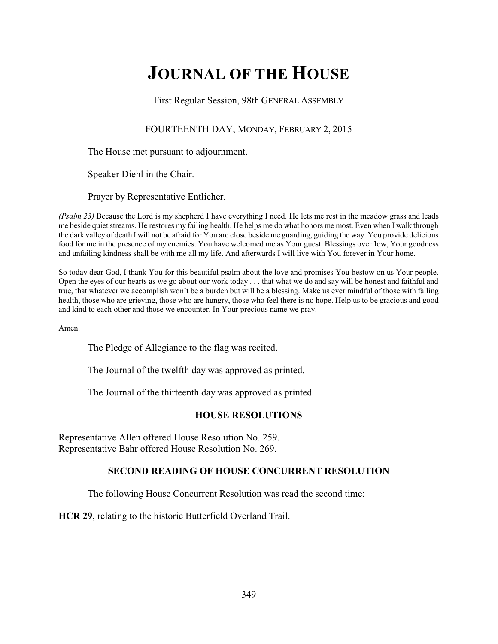# **JOURNAL OF THE HOUSE**

First Regular Session, 98th GENERAL ASSEMBLY

## FOURTEENTH DAY, MONDAY, FEBRUARY 2, 2015

The House met pursuant to adjournment.

Speaker Diehl in the Chair.

Prayer by Representative Entlicher.

*(Psalm 23)* Because the Lord is my shepherd I have everything I need. He lets me rest in the meadow grass and leads me beside quiet streams. He restores my failing health. He helps me do what honors me most. Even when I walk through the dark valley of death I will not be afraid for You are close beside me guarding, guiding the way. You provide delicious food for me in the presence of my enemies. You have welcomed me as Your guest. Blessings overflow, Your goodness and unfailing kindness shall be with me all my life. And afterwards I will live with You forever in Your home.

So today dear God, I thank You for this beautiful psalm about the love and promises You bestow on us Your people. Open the eyes of our hearts as we go about our work today . . . that what we do and say will be honest and faithful and true, that whatever we accomplish won't be a burden but will be a blessing. Make us ever mindful of those with failing health, those who are grieving, those who are hungry, those who feel there is no hope. Help us to be gracious and good and kind to each other and those we encounter. In Your precious name we pray.

Amen.

The Pledge of Allegiance to the flag was recited.

The Journal of the twelfth day was approved as printed.

The Journal of the thirteenth day was approved as printed.

## **HOUSE RESOLUTIONS**

Representative Allen offered House Resolution No. 259. Representative Bahr offered House Resolution No. 269.

## **SECOND READING OF HOUSE CONCURRENT RESOLUTION**

The following House Concurrent Resolution was read the second time:

**HCR 29**, relating to the historic Butterfield Overland Trail.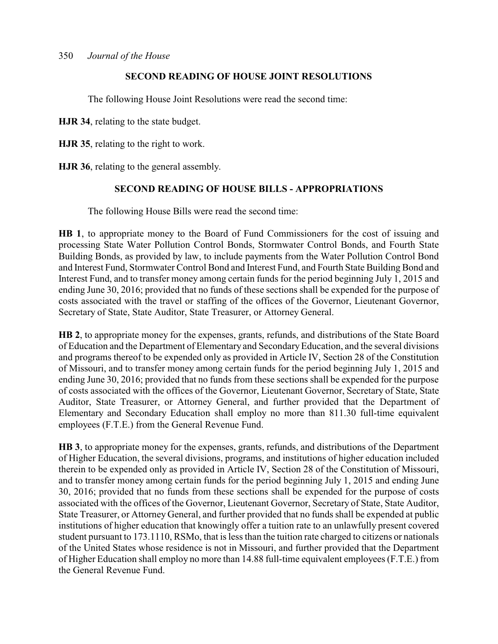## **SECOND READING OF HOUSE JOINT RESOLUTIONS**

The following House Joint Resolutions were read the second time:

**HJR 34**, relating to the state budget.

**HJR 35**, relating to the right to work.

**HJR 36**, relating to the general assembly.

## **SECOND READING OF HOUSE BILLS - APPROPRIATIONS**

The following House Bills were read the second time:

**HB 1**, to appropriate money to the Board of Fund Commissioners for the cost of issuing and processing State Water Pollution Control Bonds, Stormwater Control Bonds, and Fourth State Building Bonds, as provided by law, to include payments from the Water Pollution Control Bond and Interest Fund, Stormwater Control Bond and Interest Fund, and Fourth State Building Bond and Interest Fund, and to transfer money among certain funds for the period beginning July 1, 2015 and ending June 30, 2016; provided that no funds of these sections shall be expended for the purpose of costs associated with the travel or staffing of the offices of the Governor, Lieutenant Governor, Secretary of State, State Auditor, State Treasurer, or Attorney General.

**HB 2**, to appropriate money for the expenses, grants, refunds, and distributions of the State Board of Education and the Department of Elementary and SecondaryEducation, and the several divisions and programs thereof to be expended only as provided in Article IV, Section 28 of the Constitution of Missouri, and to transfer money among certain funds for the period beginning July 1, 2015 and ending June 30, 2016; provided that no funds from these sections shall be expended for the purpose of costs associated with the offices of the Governor, Lieutenant Governor, Secretary of State, State Auditor, State Treasurer, or Attorney General, and further provided that the Department of Elementary and Secondary Education shall employ no more than 811.30 full-time equivalent employees (F.T.E.) from the General Revenue Fund.

**HB 3**, to appropriate money for the expenses, grants, refunds, and distributions of the Department of Higher Education, the several divisions, programs, and institutions of higher education included therein to be expended only as provided in Article IV, Section 28 of the Constitution of Missouri, and to transfer money among certain funds for the period beginning July 1, 2015 and ending June 30, 2016; provided that no funds from these sections shall be expended for the purpose of costs associated with the offices of the Governor, Lieutenant Governor, Secretary of State, State Auditor, State Treasurer, or Attorney General, and further provided that no funds shall be expended at public institutions of higher education that knowingly offer a tuition rate to an unlawfully present covered student pursuant to 173.1110, RSMo, that is less than the tuition rate charged to citizens or nationals of the United States whose residence is not in Missouri, and further provided that the Department of Higher Education shall employ no more than 14.88 full-time equivalent employees (F.T.E.) from the General Revenue Fund.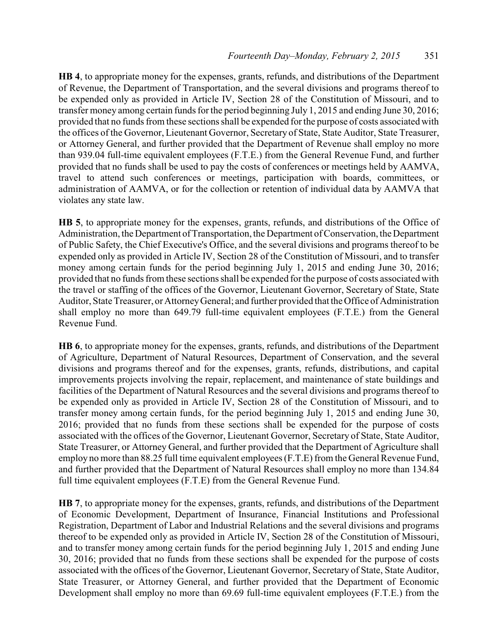**HB 4**, to appropriate money for the expenses, grants, refunds, and distributions of the Department of Revenue, the Department of Transportation, and the several divisions and programs thereof to be expended only as provided in Article IV, Section 28 of the Constitution of Missouri, and to transfer money among certain funds for the period beginning July 1, 2015 and ending June 30, 2016; provided that no funds from these sections shall be expended for the purpose of costs associated with the offices of the Governor, Lieutenant Governor, Secretary of State, State Auditor, State Treasurer, or Attorney General, and further provided that the Department of Revenue shall employ no more than 939.04 full-time equivalent employees (F.T.E.) from the General Revenue Fund, and further provided that no funds shall be used to pay the costs of conferences or meetings held by AAMVA, travel to attend such conferences or meetings, participation with boards, committees, or administration of AAMVA, or for the collection or retention of individual data by AAMVA that violates any state law.

**HB 5**, to appropriate money for the expenses, grants, refunds, and distributions of the Office of Administration, the Department of Transportation, the Department of Conservation, the Department of Public Safety, the Chief Executive's Office, and the several divisions and programs thereof to be expended only as provided in Article IV, Section 28 of the Constitution of Missouri, and to transfer money among certain funds for the period beginning July 1, 2015 and ending June 30, 2016; provided that no funds from these sections shall be expended for the purpose of costs associated with the travel or staffing of the offices of the Governor, Lieutenant Governor, Secretary of State, State Auditor, State Treasurer, or AttorneyGeneral; and further provided that the Office of Administration shall employ no more than 649.79 full-time equivalent employees (F.T.E.) from the General Revenue Fund.

**HB 6**, to appropriate money for the expenses, grants, refunds, and distributions of the Department of Agriculture, Department of Natural Resources, Department of Conservation, and the several divisions and programs thereof and for the expenses, grants, refunds, distributions, and capital improvements projects involving the repair, replacement, and maintenance of state buildings and facilities of the Department of Natural Resources and the several divisions and programs thereof to be expended only as provided in Article IV, Section 28 of the Constitution of Missouri, and to transfer money among certain funds, for the period beginning July 1, 2015 and ending June 30, 2016; provided that no funds from these sections shall be expended for the purpose of costs associated with the offices of the Governor, Lieutenant Governor, Secretary of State, State Auditor, State Treasurer, or Attorney General, and further provided that the Department of Agriculture shall employ no more than 88.25 full time equivalent employees (F.T.E) from the General Revenue Fund, and further provided that the Department of Natural Resources shall employ no more than 134.84 full time equivalent employees (F.T.E) from the General Revenue Fund.

**HB 7**, to appropriate money for the expenses, grants, refunds, and distributions of the Department of Economic Development, Department of Insurance, Financial Institutions and Professional Registration, Department of Labor and Industrial Relations and the several divisions and programs thereof to be expended only as provided in Article IV, Section 28 of the Constitution of Missouri, and to transfer money among certain funds for the period beginning July 1, 2015 and ending June 30, 2016; provided that no funds from these sections shall be expended for the purpose of costs associated with the offices of the Governor, Lieutenant Governor, Secretary of State, State Auditor, State Treasurer, or Attorney General, and further provided that the Department of Economic Development shall employ no more than 69.69 full-time equivalent employees (F.T.E.) from the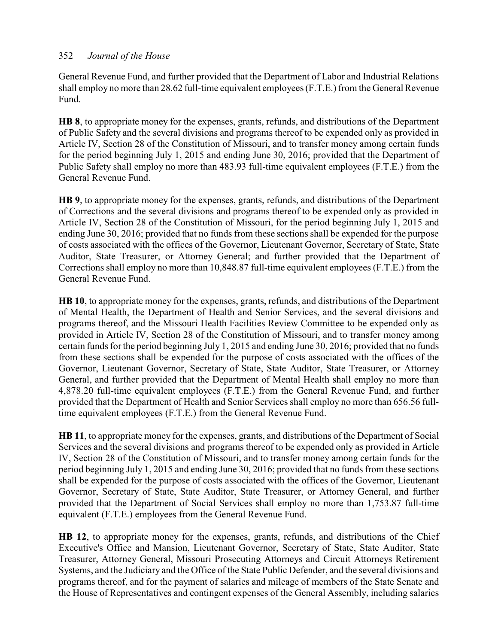General Revenue Fund, and further provided that the Department of Labor and Industrial Relations shall employ no more than 28.62 full-time equivalent employees (F.T.E.) from the General Revenue Fund.

**HB 8**, to appropriate money for the expenses, grants, refunds, and distributions of the Department of Public Safety and the several divisions and programs thereof to be expended only as provided in Article IV, Section 28 of the Constitution of Missouri, and to transfer money among certain funds for the period beginning July 1, 2015 and ending June 30, 2016; provided that the Department of Public Safety shall employ no more than 483.93 full-time equivalent employees (F.T.E.) from the General Revenue Fund.

**HB 9**, to appropriate money for the expenses, grants, refunds, and distributions of the Department of Corrections and the several divisions and programs thereof to be expended only as provided in Article IV, Section 28 of the Constitution of Missouri, for the period beginning July 1, 2015 and ending June 30, 2016; provided that no funds from these sections shall be expended for the purpose of costs associated with the offices of the Governor, Lieutenant Governor, Secretary of State, State Auditor, State Treasurer, or Attorney General; and further provided that the Department of Corrections shall employ no more than 10,848.87 full-time equivalent employees (F.T.E.) from the General Revenue Fund.

**HB 10**, to appropriate money for the expenses, grants, refunds, and distributions of the Department of Mental Health, the Department of Health and Senior Services, and the several divisions and programs thereof, and the Missouri Health Facilities Review Committee to be expended only as provided in Article IV, Section 28 of the Constitution of Missouri, and to transfer money among certain funds for the period beginning July 1, 2015 and ending June 30, 2016; provided that no funds from these sections shall be expended for the purpose of costs associated with the offices of the Governor, Lieutenant Governor, Secretary of State, State Auditor, State Treasurer, or Attorney General, and further provided that the Department of Mental Health shall employ no more than 4,878.20 full-time equivalent employees (F.T.E.) from the General Revenue Fund, and further provided that the Department of Health and Senior Services shall employ no more than 656.56 fulltime equivalent employees (F.T.E.) from the General Revenue Fund.

**HB 11**, to appropriate money for the expenses, grants, and distributions of the Department of Social Services and the several divisions and programs thereof to be expended only as provided in Article IV, Section 28 of the Constitution of Missouri, and to transfer money among certain funds for the period beginning July 1, 2015 and ending June 30, 2016; provided that no funds from these sections shall be expended for the purpose of costs associated with the offices of the Governor, Lieutenant Governor, Secretary of State, State Auditor, State Treasurer, or Attorney General, and further provided that the Department of Social Services shall employ no more than 1,753.87 full-time equivalent (F.T.E.) employees from the General Revenue Fund.

**HB 12**, to appropriate money for the expenses, grants, refunds, and distributions of the Chief Executive's Office and Mansion, Lieutenant Governor, Secretary of State, State Auditor, State Treasurer, Attorney General, Missouri Prosecuting Attorneys and Circuit Attorneys Retirement Systems, and the Judiciary and the Office of the State Public Defender, and the several divisions and programs thereof, and for the payment of salaries and mileage of members of the State Senate and the House of Representatives and contingent expenses of the General Assembly, including salaries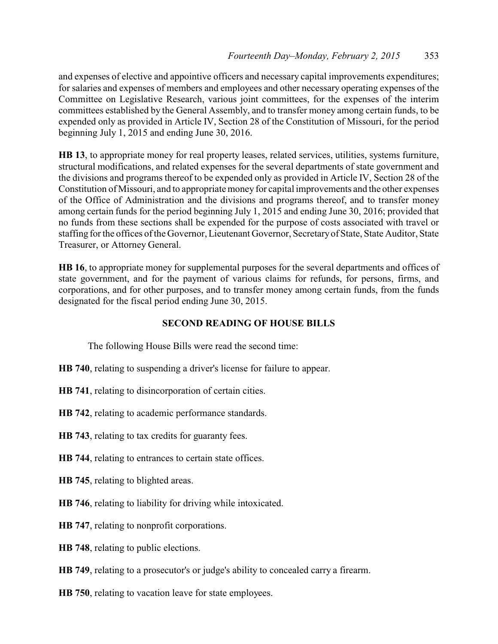and expenses of elective and appointive officers and necessary capital improvements expenditures; for salaries and expenses of members and employees and other necessary operating expenses of the Committee on Legislative Research, various joint committees, for the expenses of the interim committees established by the General Assembly, and to transfer money among certain funds, to be expended only as provided in Article IV, Section 28 of the Constitution of Missouri, for the period beginning July 1, 2015 and ending June 30, 2016.

**HB 13**, to appropriate money for real property leases, related services, utilities, systems furniture, structural modifications, and related expenses for the several departments of state government and the divisions and programs thereof to be expended only as provided in Article IV, Section 28 of the Constitution of Missouri, and to appropriate money for capital improvements and the other expenses of the Office of Administration and the divisions and programs thereof, and to transfer money among certain funds for the period beginning July 1, 2015 and ending June 30, 2016; provided that no funds from these sections shall be expended for the purpose of costs associated with travel or staffing for the offices of the Governor, Lieutenant Governor, Secretaryof State, State Auditor, State Treasurer, or Attorney General.

**HB 16**, to appropriate money for supplemental purposes for the several departments and offices of state government, and for the payment of various claims for refunds, for persons, firms, and corporations, and for other purposes, and to transfer money among certain funds, from the funds designated for the fiscal period ending June 30, 2015.

## **SECOND READING OF HOUSE BILLS**

The following House Bills were read the second time:

- **HB 740**, relating to suspending a driver's license for failure to appear.
- **HB 741**, relating to disincorporation of certain cities.
- **HB 742**, relating to academic performance standards.
- **HB 743**, relating to tax credits for guaranty fees.
- **HB 744**, relating to entrances to certain state offices.
- **HB 745**, relating to blighted areas.
- **HB 746**, relating to liability for driving while intoxicated.
- **HB 747**, relating to nonprofit corporations.
- **HB 748**, relating to public elections.
- **HB 749**, relating to a prosecutor's or judge's ability to concealed carry a firearm.
- **HB 750**, relating to vacation leave for state employees.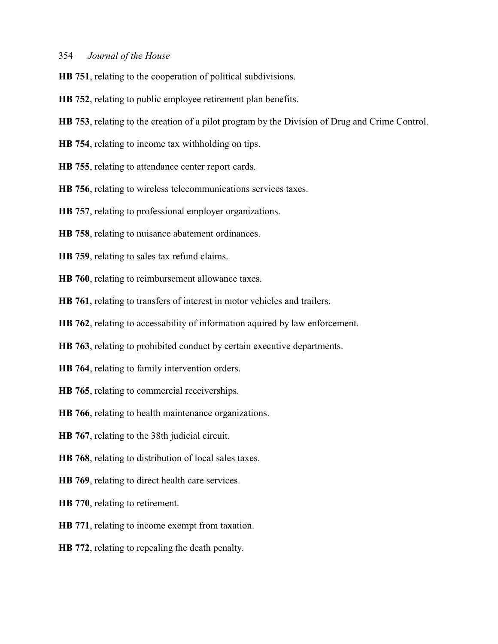- **HB 751**, relating to the cooperation of political subdivisions.
- **HB 752**, relating to public employee retirement plan benefits.
- **HB 753**, relating to the creation of a pilot program by the Division of Drug and Crime Control.
- **HB 754**, relating to income tax withholding on tips.
- **HB 755**, relating to attendance center report cards.
- **HB 756**, relating to wireless telecommunications services taxes.
- **HB 757**, relating to professional employer organizations.
- **HB 758**, relating to nuisance abatement ordinances.
- **HB 759**, relating to sales tax refund claims.
- **HB 760**, relating to reimbursement allowance taxes.
- **HB 761**, relating to transfers of interest in motor vehicles and trailers.
- **HB 762**, relating to accessability of information aquired by law enforcement.
- **HB 763**, relating to prohibited conduct by certain executive departments.
- **HB 764**, relating to family intervention orders.
- **HB 765**, relating to commercial receiverships.
- **HB 766**, relating to health maintenance organizations.
- **HB 767**, relating to the 38th judicial circuit.
- **HB 768**, relating to distribution of local sales taxes.
- **HB 769**, relating to direct health care services.
- **HB 770**, relating to retirement.
- **HB 771**, relating to income exempt from taxation.
- **HB 772**, relating to repealing the death penalty.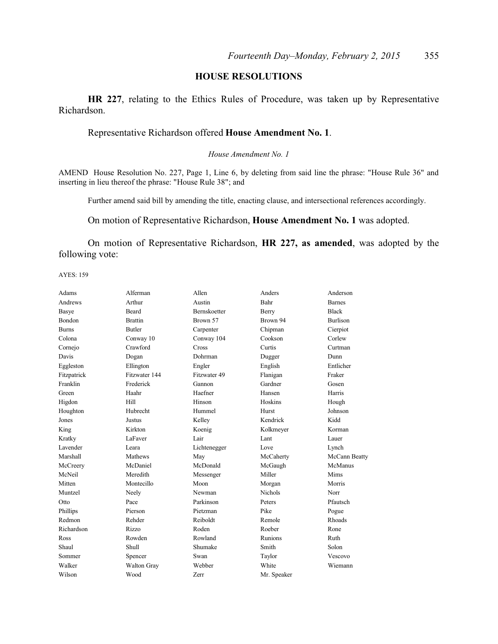## **HOUSE RESOLUTIONS**

**HR 227**, relating to the Ethics Rules of Procedure, was taken up by Representative Richardson.

#### Representative Richardson offered **House Amendment No. 1**.

#### *House Amendment No. 1*

AMEND House Resolution No. 227, Page 1, Line 6, by deleting from said line the phrase: "House Rule 36" and inserting in lieu thereof the phrase: "House Rule 38"; and

Further amend said bill by amending the title, enacting clause, and intersectional references accordingly.

On motion of Representative Richardson, **House Amendment No. 1** was adopted.

On motion of Representative Richardson, **HR 227, as amended**, was adopted by the following vote:

AYES: 159

| Alferman       | Allen        | Anders      | Anderson        |
|----------------|--------------|-------------|-----------------|
| Arthur         | Austin       | Bahr        | <b>Barnes</b>   |
| <b>Beard</b>   | Bernskoetter | Berry       | <b>Black</b>    |
| <b>Brattin</b> | Brown 57     | Brown 94    | <b>Burlison</b> |
| <b>Butler</b>  | Carpenter    | Chipman     | Cierpiot        |
| Conway 10      | Conway 104   | Cookson     | Corlew          |
| Crawford       | Cross        | Curtis      | Curtman         |
| Dogan          | Dohrman      | Dugger      | Dunn            |
| Ellington      | Engler       | English     | Entlicher       |
| Fitzwater 144  | Fitzwater 49 | Flanigan    | Fraker          |
| Frederick      | Gannon       | Gardner     | Gosen           |
| Haahr          | Haefner      | Hansen      | Harris          |
| Hill           | Hinson       | Hoskins     | Hough           |
| Hubrecht       | Hummel       | Hurst       | Johnson         |
| <b>Justus</b>  | Kelley       | Kendrick    | Kidd            |
| Kirkton        | Koenig       | Kolkmeyer   | Korman          |
| LaFaver        | Lair         | Lant        | Lauer           |
| Leara          | Lichtenegger | Love        | Lynch           |
| Mathews        | May          | McCaherty   | McCann Beatty   |
| McDaniel       | McDonald     | McGaugh     | McManus         |
| Meredith       | Messenger    | Miller      | Mims            |
| Montecillo     | Moon         | Morgan      | Morris          |
| Neely          | Newman       | Nichols     | Norr            |
| Pace           | Parkinson    | Peters      | Pfautsch        |
| Pierson        | Pietzman     | Pike        | Pogue           |
| Rehder         | Reiboldt     | Remole      | Rhoads          |
| <b>Rizzo</b>   | Roden        | Roeber      | Rone            |
| Rowden         | Rowland      | Runions     | Ruth            |
| Shull          | Shumake      | Smith       | Solon           |
| Spencer        | Swan         | Taylor      | Vescovo         |
| Walton Gray    | Webber       | White       | Wiemann         |
| Wood           | Zerr         | Mr. Speaker |                 |
|                |              |             |                 |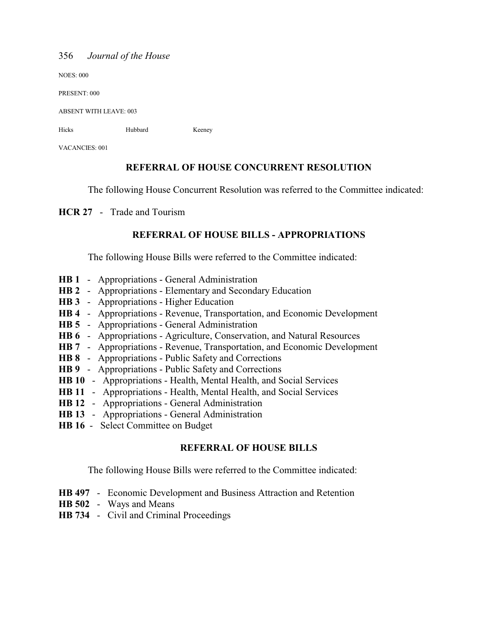NOES: 000

PRESENT: 000

ABSENT WITH LEAVE: 003

Hicks Hubbard Keeney

VACANCIES: 001

## **REFERRAL OF HOUSE CONCURRENT RESOLUTION**

The following House Concurrent Resolution was referred to the Committee indicated:

**HCR 27** - Trade and Tourism

## **REFERRAL OF HOUSE BILLS - APPROPRIATIONS**

The following House Bills were referred to the Committee indicated:

- **HB 1** Appropriations General Administration
- **HB 2** Appropriations Elementary and Secondary Education
- **HB 3** Appropriations Higher Education
- **HB 4** Appropriations Revenue, Transportation, and Economic Development
- **HB 5** Appropriations General Administration
- **HB 6** Appropriations Agriculture, Conservation, and Natural Resources
- **HB 7** Appropriations Revenue, Transportation, and Economic Development
- **HB 8** Appropriations Public Safety and Corrections
- **HB 9** Appropriations Public Safety and Corrections
- **HB 10** Appropriations Health, Mental Health, and Social Services
- **HB 11** Appropriations Health, Mental Health, and Social Services
- **HB 12** Appropriations General Administration
- **HB 13** Appropriations General Administration
- **HB 16** Select Committee on Budget

## **REFERRAL OF HOUSE BILLS**

The following House Bills were referred to the Committee indicated:

- **HB 497** Economic Development and Business Attraction and Retention
- **HB 502** Ways and Means
- **HB 734** Civil and Criminal Proceedings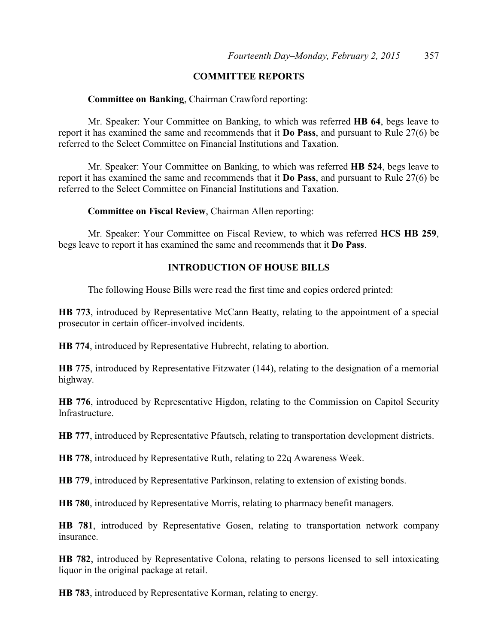## **COMMITTEE REPORTS**

## **Committee on Banking**, Chairman Crawford reporting:

Mr. Speaker: Your Committee on Banking, to which was referred **HB 64**, begs leave to report it has examined the same and recommends that it **Do Pass**, and pursuant to Rule 27(6) be referred to the Select Committee on Financial Institutions and Taxation.

Mr. Speaker: Your Committee on Banking, to which was referred **HB 524**, begs leave to report it has examined the same and recommends that it **Do Pass**, and pursuant to Rule 27(6) be referred to the Select Committee on Financial Institutions and Taxation.

## **Committee on Fiscal Review**, Chairman Allen reporting:

Mr. Speaker: Your Committee on Fiscal Review, to which was referred **HCS HB 259**, begs leave to report it has examined the same and recommends that it **Do Pass**.

## **INTRODUCTION OF HOUSE BILLS**

The following House Bills were read the first time and copies ordered printed:

**HB 773**, introduced by Representative McCann Beatty, relating to the appointment of a special prosecutor in certain officer-involved incidents.

**HB 774**, introduced by Representative Hubrecht, relating to abortion.

**HB 775**, introduced by Representative Fitzwater (144), relating to the designation of a memorial highway.

**HB 776**, introduced by Representative Higdon, relating to the Commission on Capitol Security Infrastructure.

**HB 777**, introduced by Representative Pfautsch, relating to transportation development districts.

**HB 778**, introduced by Representative Ruth, relating to 22q Awareness Week.

**HB 779**, introduced by Representative Parkinson, relating to extension of existing bonds.

**HB 780**, introduced by Representative Morris, relating to pharmacy benefit managers.

**HB 781**, introduced by Representative Gosen, relating to transportation network company insurance.

**HB 782**, introduced by Representative Colona, relating to persons licensed to sell intoxicating liquor in the original package at retail.

**HB 783**, introduced by Representative Korman, relating to energy.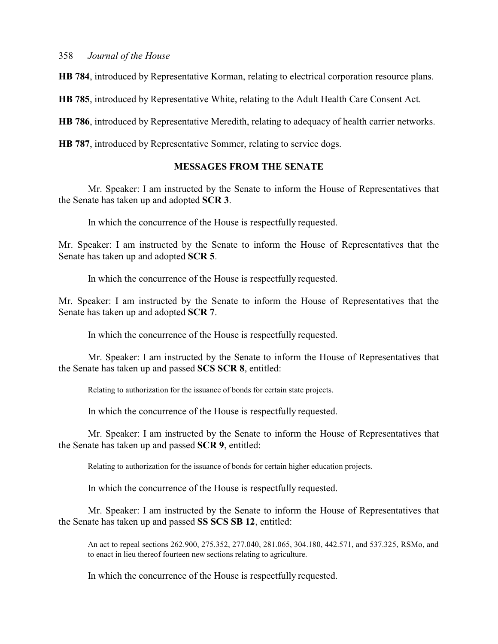**HB 784**, introduced by Representative Korman, relating to electrical corporation resource plans.

**HB 785**, introduced by Representative White, relating to the Adult Health Care Consent Act.

**HB 786**, introduced by Representative Meredith, relating to adequacy of health carrier networks.

**HB 787**, introduced by Representative Sommer, relating to service dogs.

## **MESSAGES FROM THE SENATE**

Mr. Speaker: I am instructed by the Senate to inform the House of Representatives that the Senate has taken up and adopted **SCR 3**.

In which the concurrence of the House is respectfully requested.

Mr. Speaker: I am instructed by the Senate to inform the House of Representatives that the Senate has taken up and adopted **SCR 5**.

In which the concurrence of the House is respectfully requested.

Mr. Speaker: I am instructed by the Senate to inform the House of Representatives that the Senate has taken up and adopted **SCR 7**.

In which the concurrence of the House is respectfully requested.

Mr. Speaker: I am instructed by the Senate to inform the House of Representatives that the Senate has taken up and passed **SCS SCR 8**, entitled:

Relating to authorization for the issuance of bonds for certain state projects.

In which the concurrence of the House is respectfully requested.

Mr. Speaker: I am instructed by the Senate to inform the House of Representatives that the Senate has taken up and passed **SCR 9**, entitled:

Relating to authorization for the issuance of bonds for certain higher education projects.

In which the concurrence of the House is respectfully requested.

Mr. Speaker: I am instructed by the Senate to inform the House of Representatives that the Senate has taken up and passed **SS SCS SB 12**, entitled:

An act to repeal sections 262.900, 275.352, 277.040, 281.065, 304.180, 442.571, and 537.325, RSMo, and to enact in lieu thereof fourteen new sections relating to agriculture.

In which the concurrence of the House is respectfully requested.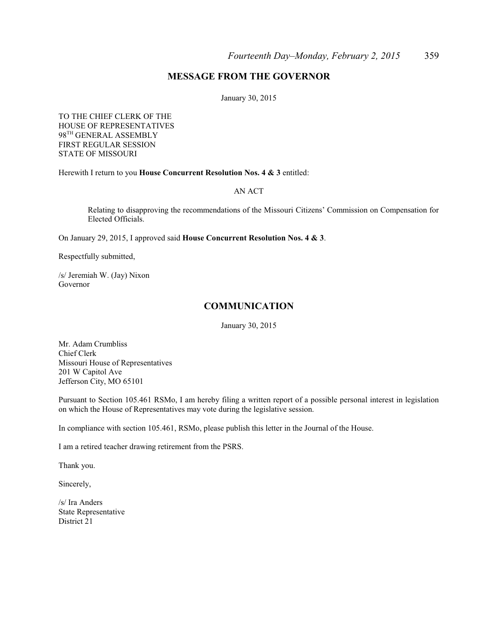## **MESSAGE FROM THE GOVERNOR**

January 30, 2015

TO THE CHIEF CLERK OF THE HOUSE OF REPRESENTATIVES 98 TH GENERAL ASSEMBLY FIRST REGULAR SESSION STATE OF MISSOURI

Herewith I return to you **House Concurrent Resolution Nos. 4 & 3** entitled:

#### AN ACT

Relating to disapproving the recommendations of the Missouri Citizens' Commission on Compensation for Elected Officials.

On January 29, 2015, I approved said **House Concurrent Resolution Nos. 4 & 3**.

Respectfully submitted,

/s/ Jeremiah W. (Jay) Nixon Governor

#### **COMMUNICATION**

January 30, 2015

Mr. Adam Crumbliss Chief Clerk Missouri House of Representatives 201 W Capitol Ave Jefferson City, MO 65101

Pursuant to Section 105.461 RSMo, I am hereby filing a written report of a possible personal interest in legislation on which the House of Representatives may vote during the legislative session.

In compliance with section 105.461, RSMo, please publish this letter in the Journal of the House.

I am a retired teacher drawing retirement from the PSRS.

Thank you.

Sincerely,

/s/ Ira Anders State Representative District 21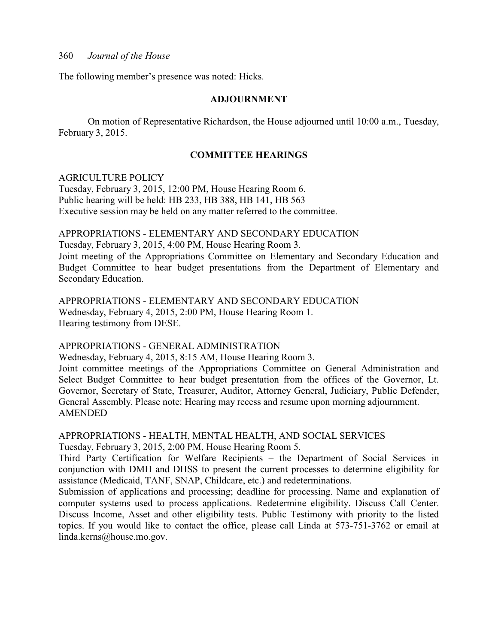The following member's presence was noted: Hicks.

#### **ADJOURNMENT**

On motion of Representative Richardson, the House adjourned until 10:00 a.m., Tuesday, February 3, 2015.

#### **COMMITTEE HEARINGS**

#### AGRICULTURE POLICY

Tuesday, February 3, 2015, 12:00 PM, House Hearing Room 6. Public hearing will be held: HB 233, HB 388, HB 141, HB 563 Executive session may be held on any matter referred to the committee.

#### APPROPRIATIONS - ELEMENTARY AND SECONDARY EDUCATION

Tuesday, February 3, 2015, 4:00 PM, House Hearing Room 3.

Joint meeting of the Appropriations Committee on Elementary and Secondary Education and Budget Committee to hear budget presentations from the Department of Elementary and Secondary Education.

APPROPRIATIONS - ELEMENTARY AND SECONDARY EDUCATION Wednesday, February 4, 2015, 2:00 PM, House Hearing Room 1. Hearing testimony from DESE.

#### APPROPRIATIONS - GENERAL ADMINISTRATION

Wednesday, February 4, 2015, 8:15 AM, House Hearing Room 3.

Joint committee meetings of the Appropriations Committee on General Administration and Select Budget Committee to hear budget presentation from the offices of the Governor, Lt. Governor, Secretary of State, Treasurer, Auditor, Attorney General, Judiciary, Public Defender, General Assembly. Please note: Hearing may recess and resume upon morning adjournment. AMENDED

## APPROPRIATIONS - HEALTH, MENTAL HEALTH, AND SOCIAL SERVICES Tuesday, February 3, 2015, 2:00 PM, House Hearing Room 5.

Third Party Certification for Welfare Recipients – the Department of Social Services in conjunction with DMH and DHSS to present the current processes to determine eligibility for assistance (Medicaid, TANF, SNAP, Childcare, etc.) and redeterminations.

Submission of applications and processing; deadline for processing. Name and explanation of computer systems used to process applications. Redetermine eligibility. Discuss Call Center. Discuss Income, Asset and other eligibility tests. Public Testimony with priority to the listed topics. If you would like to contact the office, please call Linda at 573-751-3762 or email at linda.kerns@house.mo.gov.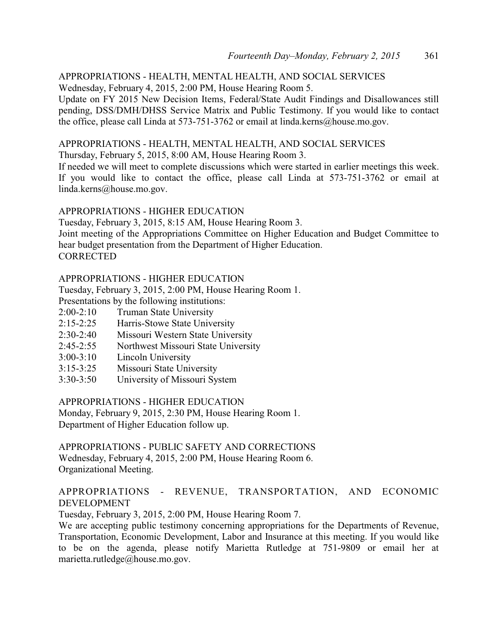#### APPROPRIATIONS - HEALTH, MENTAL HEALTH, AND SOCIAL SERVICES Wednesday, February 4, 2015, 2:00 PM, House Hearing Room 5.

Update on FY 2015 New Decision Items, Federal/State Audit Findings and Disallowances still pending, DSS/DMH/DHSS Service Matrix and Public Testimony. If you would like to contact the office, please call Linda at 573-751-3762 or email at linda.kerns@house.mo.gov.

## APPROPRIATIONS - HEALTH, MENTAL HEALTH, AND SOCIAL SERVICES

Thursday, February 5, 2015, 8:00 AM, House Hearing Room 3.

If needed we will meet to complete discussions which were started in earlier meetings this week. If you would like to contact the office, please call Linda at 573-751-3762 or email at linda.kerns@house.mo.gov.

## APPROPRIATIONS - HIGHER EDUCATION

Tuesday, February 3, 2015, 8:15 AM, House Hearing Room 3. Joint meeting of the Appropriations Committee on Higher Education and Budget Committee to hear budget presentation from the Department of Higher Education. **CORRECTED** 

## APPROPRIATIONS - HIGHER EDUCATION

Tuesday, February 3, 2015, 2:00 PM, House Hearing Room 1.

Presentations by the following institutions:

- 2:00-2:10 Truman State University
- 2:15-2:25 Harris-Stowe State University
- 2:30-2:40 Missouri Western State University
- 2:45-2:55 Northwest Missouri State University
- 3:00-3:10 Lincoln University
- 3:15-3:25 Missouri State University
- 3:30-3:50 University of Missouri System

APPROPRIATIONS - HIGHER EDUCATION

Monday, February 9, 2015, 2:30 PM, House Hearing Room 1. Department of Higher Education follow up.

APPROPRIATIONS - PUBLIC SAFETY AND CORRECTIONS Wednesday, February 4, 2015, 2:00 PM, House Hearing Room 6. Organizational Meeting.

## APPROPRIATIONS - REVENUE, TRANSPORTATION, AND ECONOMIC DEVELOPMENT

Tuesday, February 3, 2015, 2:00 PM, House Hearing Room 7.

We are accepting public testimony concerning appropriations for the Departments of Revenue, Transportation, Economic Development, Labor and Insurance at this meeting. If you would like to be on the agenda, please notify Marietta Rutledge at 751-9809 or email her at marietta.rutledge@house.mo.gov.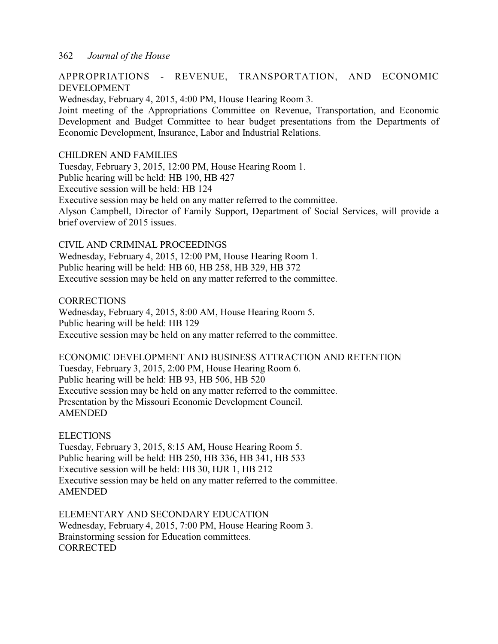## APPROPRIATIONS - REVENUE, TRANSPORTATION, AND ECONOMIC DEVELOPMENT

Wednesday, February 4, 2015, 4:00 PM, House Hearing Room 3.

Joint meeting of the Appropriations Committee on Revenue, Transportation, and Economic Development and Budget Committee to hear budget presentations from the Departments of Economic Development, Insurance, Labor and Industrial Relations.

#### CHILDREN AND FAMILIES

Tuesday, February 3, 2015, 12:00 PM, House Hearing Room 1. Public hearing will be held: HB 190, HB 427 Executive session will be held: HB 124 Executive session may be held on any matter referred to the committee. Alyson Campbell, Director of Family Support, Department of Social Services, will provide a brief overview of 2015 issues.

#### CIVIL AND CRIMINAL PROCEEDINGS

Wednesday, February 4, 2015, 12:00 PM, House Hearing Room 1. Public hearing will be held: HB 60, HB 258, HB 329, HB 372 Executive session may be held on any matter referred to the committee.

**CORRECTIONS** Wednesday, February 4, 2015, 8:00 AM, House Hearing Room 5. Public hearing will be held: HB 129 Executive session may be held on any matter referred to the committee.

ECONOMIC DEVELOPMENT AND BUSINESS ATTRACTION AND RETENTION Tuesday, February 3, 2015, 2:00 PM, House Hearing Room 6. Public hearing will be held: HB 93, HB 506, HB 520 Executive session may be held on any matter referred to the committee. Presentation by the Missouri Economic Development Council. AMENDED

ELECTIONS

Tuesday, February 3, 2015, 8:15 AM, House Hearing Room 5. Public hearing will be held: HB 250, HB 336, HB 341, HB 533 Executive session will be held: HB 30, HJR 1, HB 212 Executive session may be held on any matter referred to the committee. AMENDED

ELEMENTARY AND SECONDARY EDUCATION Wednesday, February 4, 2015, 7:00 PM, House Hearing Room 3. Brainstorming session for Education committees. **CORRECTED**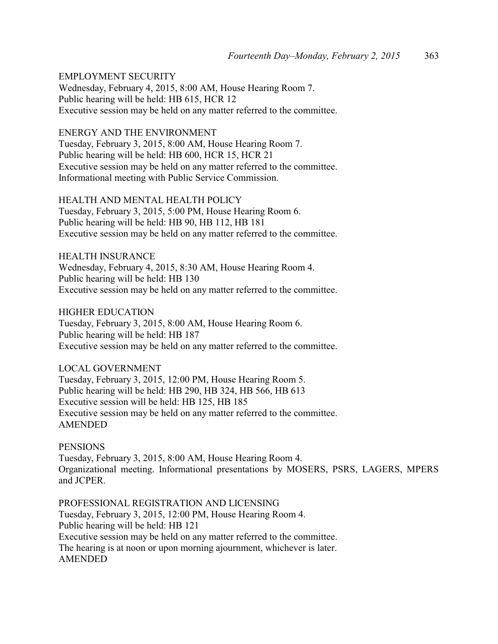EMPLOYMENT SECURITY

Wednesday, February 4, 2015, 8:00 AM, House Hearing Room 7. Public hearing will be held: HB 615, HCR 12 Executive session may be held on any matter referred to the committee.

#### ENERGY AND THE ENVIRONMENT

Tuesday, February 3, 2015, 8:00 AM, House Hearing Room 7. Public hearing will be held: HB 600, HCR 15, HCR 21 Executive session may be held on any matter referred to the committee. Informational meeting with Public Service Commission.

HEALTH AND MENTAL HEALTH POLICY Tuesday, February 3, 2015, 5:00 PM, House Hearing Room 6. Public hearing will be held: HB 90, HB 112, HB 181 Executive session may be held on any matter referred to the committee.

HEALTH INSURANCE Wednesday, February 4, 2015, 8:30 AM, House Hearing Room 4. Public hearing will be held: HB 130 Executive session may be held on any matter referred to the committee.

HIGHER EDUCATION Tuesday, February 3, 2015, 8:00 AM, House Hearing Room 6. Public hearing will be held: HB 187 Executive session may be held on any matter referred to the committee.

LOCAL GOVERNMENT

Tuesday, February 3, 2015, 12:00 PM, House Hearing Room 5. Public hearing will be held: HB 290, HB 324, HB 566, HB 613 Executive session will be held: HB 125, HB 185 Executive session may be held on any matter referred to the committee. AMENDED

**PENSIONS** 

Tuesday, February 3, 2015, 8:00 AM, House Hearing Room 4. Organizational meeting. Informational presentations by MOSERS, PSRS, LAGERS, MPERS and JCPER.

PROFESSIONAL REGISTRATION AND LICENSING Tuesday, February 3, 2015, 12:00 PM, House Hearing Room 4. Public hearing will be held: HB 121 Executive session may be held on any matter referred to the committee. The hearing is at noon or upon morning ajournment, whichever is later. AMENDED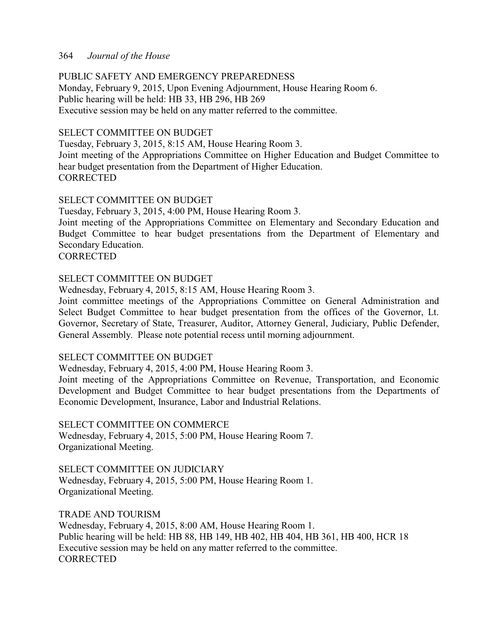## PUBLIC SAFETY AND EMERGENCY PREPAREDNESS

Monday, February 9, 2015, Upon Evening Adjournment, House Hearing Room 6. Public hearing will be held: HB 33, HB 296, HB 269 Executive session may be held on any matter referred to the committee.

## SELECT COMMITTEE ON BUDGET

Tuesday, February 3, 2015, 8:15 AM, House Hearing Room 3. Joint meeting of the Appropriations Committee on Higher Education and Budget Committee to hear budget presentation from the Department of Higher Education. **CORRECTED** 

## SELECT COMMITTEE ON BUDGET

Tuesday, February 3, 2015, 4:00 PM, House Hearing Room 3.

Joint meeting of the Appropriations Committee on Elementary and Secondary Education and Budget Committee to hear budget presentations from the Department of Elementary and Secondary Education.

**CORRECTED** 

## SELECT COMMITTEE ON BUDGET

Wednesday, February 4, 2015, 8:15 AM, House Hearing Room 3.

Joint committee meetings of the Appropriations Committee on General Administration and Select Budget Committee to hear budget presentation from the offices of the Governor, Lt. Governor, Secretary of State, Treasurer, Auditor, Attorney General, Judiciary, Public Defender, General Assembly. Please note potential recess until morning adjournment.

#### SELECT COMMITTEE ON BUDGET

Wednesday, February 4, 2015, 4:00 PM, House Hearing Room 3.

Joint meeting of the Appropriations Committee on Revenue, Transportation, and Economic Development and Budget Committee to hear budget presentations from the Departments of Economic Development, Insurance, Labor and Industrial Relations.

#### SELECT COMMITTEE ON COMMERCE

Wednesday, February 4, 2015, 5:00 PM, House Hearing Room 7. Organizational Meeting.

SELECT COMMITTEE ON JUDICIARY

Wednesday, February 4, 2015, 5:00 PM, House Hearing Room 1. Organizational Meeting.

## TRADE AND TOURISM

Wednesday, February 4, 2015, 8:00 AM, House Hearing Room 1. Public hearing will be held: HB 88, HB 149, HB 402, HB 404, HB 361, HB 400, HCR 18 Executive session may be held on any matter referred to the committee. **CORRECTED**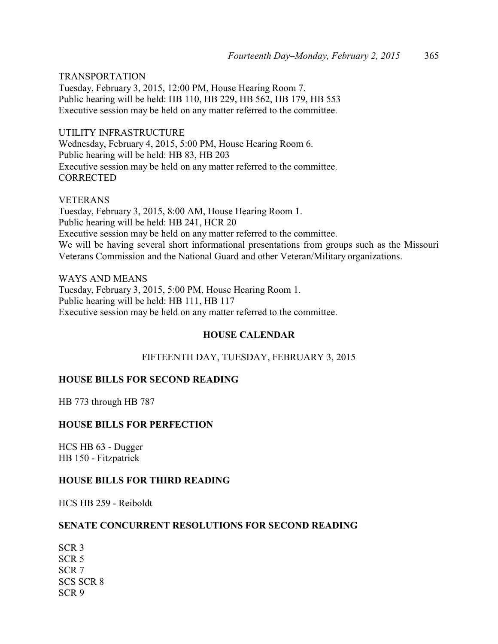TRANSPORTATION Tuesday, February 3, 2015, 12:00 PM, House Hearing Room 7. Public hearing will be held: HB 110, HB 229, HB 562, HB 179, HB 553 Executive session may be held on any matter referred to the committee.

UTILITY INFRASTRUCTURE Wednesday, February 4, 2015, 5:00 PM, House Hearing Room 6. Public hearing will be held: HB 83, HB 203 Executive session may be held on any matter referred to the committee. **CORRECTED** 

VETERANS Tuesday, February 3, 2015, 8:00 AM, House Hearing Room 1.

Public hearing will be held: HB 241, HCR 20 Executive session may be held on any matter referred to the committee. We will be having several short informational presentations from groups such as the Missouri Veterans Commission and the National Guard and other Veteran/Military organizations.

WAYS AND MEANS Tuesday, February 3, 2015, 5:00 PM, House Hearing Room 1. Public hearing will be held: HB 111, HB 117 Executive session may be held on any matter referred to the committee.

## **HOUSE CALENDAR**

## FIFTEENTH DAY, TUESDAY, FEBRUARY 3, 2015

## **HOUSE BILLS FOR SECOND READING**

HB 773 through HB 787

## **HOUSE BILLS FOR PERFECTION**

HCS HB 63 - Dugger HB 150 - Fitzpatrick

## **HOUSE BILLS FOR THIRD READING**

HCS HB 259 - Reiboldt

## **SENATE CONCURRENT RESOLUTIONS FOR SECOND READING**

SCR 3 SCR 5 SCR 7 SCS SCR 8 SCR 9